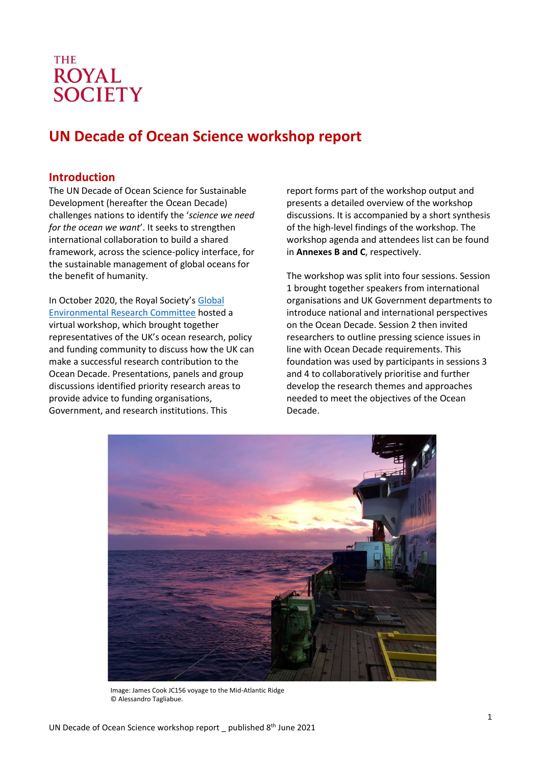# **THE ROYAL SOCIETY**

# **UN Decade of Ocean Science workshop report**

# <span id="page-0-0"></span>**Introduction**

The UN Decade of Ocean Science for Sustainable Development (hereafter the Ocean Decade) challenges nations to identify the '*science we need for the ocean we want*'. It seeks to strengthen international collaboration to build a shared framework, across the science-policy interface, for the sustainable management of global oceans for the benefit of humanity.

In October 2020, the Royal Society's Global [Environmental Research Committee](https://royalsociety.org/topics-policy/energy-environment-climate/global-environmental-research-committee/) hosted a virtual workshop, which brought together representatives of the UK's ocean research, policy and funding community to discuss how the UK can make a successful research contribution to the Ocean Decade. Presentations, panels and group discussions identified priority research areas to provide advice to funding organisations, Government, and research institutions. This

report forms part of the workshop output and presents a detailed overview of the workshop discussions. It is accompanied by a short synthesis of the high-level findings of the workshop. The workshop agenda and attendees list can be found in **Annexes B and C**, respectively.

The workshop was split into four sessions. Session 1 brought together speakers from international organisations and UK Government departments to introduce national and international perspectives on the Ocean Decade. Session 2 then invited researchers to outline pressing science issues in line with Ocean Decade requirements. This foundation was used by participants in sessions 3 and 4 to collaboratively prioritise and further develop the research themes and approaches needed to meet the objectives of the Ocean Decade.



Image: James Cook JC156 voyage to the Mid-Atlantic Ridge © Alessandro Tagliabue.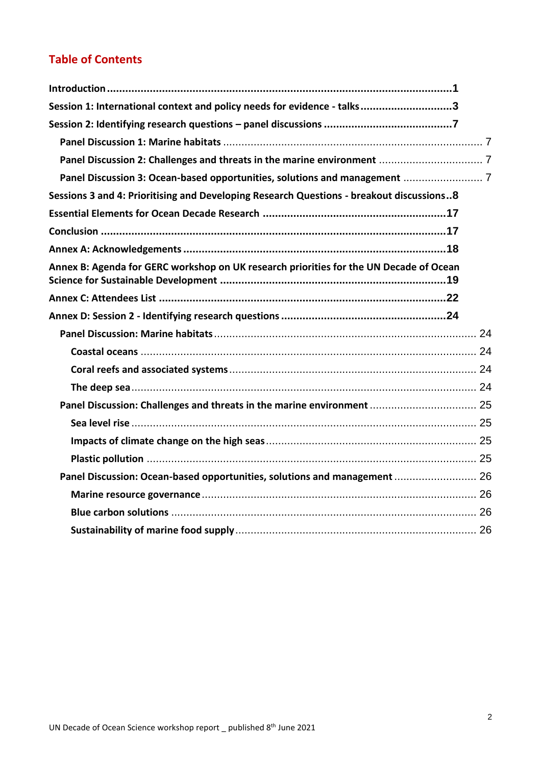# **Table of Contents**

| Session 1: International context and policy needs for evidence - talks3                  |  |
|------------------------------------------------------------------------------------------|--|
|                                                                                          |  |
|                                                                                          |  |
|                                                                                          |  |
|                                                                                          |  |
| Sessions 3 and 4: Prioritising and Developing Research Questions - breakout discussions8 |  |
|                                                                                          |  |
|                                                                                          |  |
|                                                                                          |  |
| Annex B: Agenda for GERC workshop on UK research priorities for the UN Decade of Ocean   |  |
|                                                                                          |  |
|                                                                                          |  |
|                                                                                          |  |
|                                                                                          |  |
|                                                                                          |  |
|                                                                                          |  |
|                                                                                          |  |
|                                                                                          |  |
|                                                                                          |  |
|                                                                                          |  |
|                                                                                          |  |
| Panel Discussion: Ocean-based opportunities, solutions and management  26                |  |
|                                                                                          |  |
|                                                                                          |  |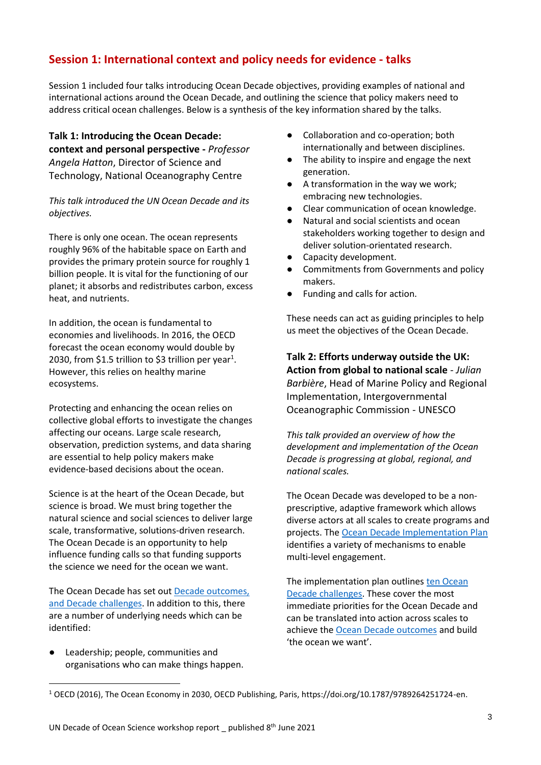# <span id="page-2-0"></span>**Session 1: International context and policy needs for evidence - talks**

Session 1 included four talks introducing Ocean Decade objectives, providing examples of national and international actions around the Ocean Decade, and outlining the science that policy makers need to address critical ocean challenges. Below is a synthesis of the key information shared by the talks.

**Talk 1: Introducing the Ocean Decade: context and personal perspective -** *Professor Angela Hatton*, Director of Science and Technology, National Oceanography Centre

*This talk introduced the UN Ocean Decade and its objectives.* 

There is only one ocean. The ocean represents roughly 96% of the habitable space on Earth and provides the primary protein source for roughly 1 billion people. It is vital for the functioning of our planet; it absorbs and redistributes carbon, excess heat, and nutrients.

In addition, the ocean is fundamental to economies and livelihoods. In 2016, the OECD forecast the ocean economy would double by 2030, from \$1.5 trillion to \$3 trillion per year<sup>1</sup>. However, this relies on healthy marine ecosystems.

Protecting and enhancing the ocean relies on collective global efforts to investigate the changes affecting our oceans. Large scale research, observation, prediction systems, and data sharing are essential to help policy makers make evidence-based decisions about the ocean.

Science is at the heart of the Ocean Decade, but science is broad. We must bring together the natural science and social sciences to deliver large scale, transformative, solutions-driven research. The Ocean Decade is an opportunity to help influence funding calls so that funding supports the science we need for the ocean we want.

The Ocean Decade has set out [Decade outcomes,](https://www.oceandecade.org/assets/The_Science_We_Need_For_The_Ocean_We_Want.pdf)  [and Decade challenges.](https://www.oceandecade.org/assets/The_Science_We_Need_For_The_Ocean_We_Want.pdf) In addition to this, there are a number of underlying needs which can be identified:

Leadership; people, communities and organisations who can make things happen.

- Collaboration and co-operation; both internationally and between disciplines.
- The ability to inspire and engage the next generation.
- A transformation in the way we work; embracing new technologies.
- Clear communication of ocean knowledge.
- Natural and social scientists and ocean stakeholders working together to design and deliver solution-orientated research.
- Capacity development.
- Commitments from Governments and policy makers.
- Funding and calls for action.

These needs can act as guiding principles to help us meet the objectives of the Ocean Decade.

**Talk 2: Efforts underway outside the UK: Action from global to national scale** *- Julian Barbière*, Head of Marine Policy and Regional Implementation, Intergovernmental Oceanographic Commission - UNESCO

*This talk provided an overview of how the development and implementation of the Ocean Decade is progressing at global, regional, and national scales.* 

The Ocean Decade was developed to be a nonprescriptive, adaptive framework which allows diverse actors at all scales to create programs and projects. Th[e Ocean Decade Implementation Plan](https://oceanexpert.org/document/27347) identifies a variety of mechanisms to enable multi-level engagement.

The implementation plan outlines ten Ocean [Decade challenges.](https://uk-ioc.org/united-nations-decade-ocean-science-sustainable-development-2021-2030#:~:text=Ocean%20Decade%20Challenges&text=These%20objectives%20include%3A,deploy%20solutions%20for%20sustainable%20development) These cover the most immediate priorities for the Ocean Decade and can be translated into action across scales to achieve the [Ocean Decade outcomes](https://oceandecade.org/about?tab=our-vision) and build 'the ocean we want'.

<sup>1</sup> OECD (2016), The Ocean Economy in 2030, OECD Publishing, Paris, https://doi.org/10.1787/9789264251724-en.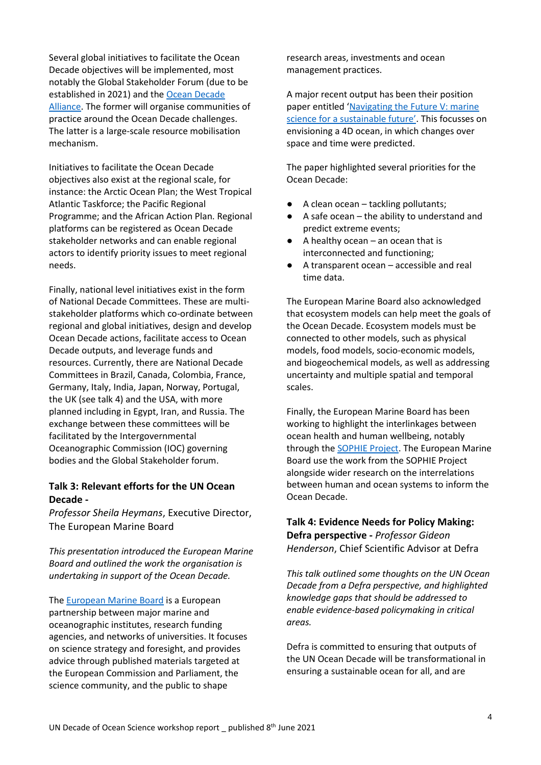Several global initiatives to facilitate the Ocean Decade objectives will be implemented, most notably the Global Stakeholder Forum (due to be established in 2021) and the [Ocean Decade](https://www.oceandecade.org/news/37/UNESCO-rolls-out-Ocean-Decade-Alliance-at-Our-Ocean-Conference)  [Alliance.](https://www.oceandecade.org/news/37/UNESCO-rolls-out-Ocean-Decade-Alliance-at-Our-Ocean-Conference) The former will organise communities of practice around the Ocean Decade challenges. The latter is a large-scale resource mobilisation mechanism.

Initiatives to facilitate the Ocean Decade objectives also exist at the regional scale, for instance: the Arctic Ocean Plan; the West Tropical Atlantic Taskforce; the Pacific Regional Programme; and the African Action Plan. Regional platforms can be registered as Ocean Decade stakeholder networks and can enable regional actors to identify priority issues to meet regional needs.

Finally, national level initiatives exist in the form of National Decade Committees. These are multistakeholder platforms which co-ordinate between regional and global initiatives, design and develop Ocean Decade actions, facilitate access to Ocean Decade outputs, and leverage funds and resources. Currently, there are National Decade Committees in Brazil, Canada, Colombia, France, Germany, Italy, India, Japan, Norway, Portugal, the UK (see talk 4) and the USA, with more planned including in Egypt, Iran, and Russia. The exchange between these committees will be facilitated by the Intergovernmental Oceanographic Commission (IOC) governing bodies and the Global Stakeholder forum.

### **Talk 3: Relevant efforts for the UN Ocean Decade -**

*Professor Sheila Heymans*, Executive Director, The European Marine Board

*This presentation introduced the European Marine Board and outlined the work the organisation is undertaking in support of the Ocean Decade.* 

The **European Marine Board** is a European partnership between major marine and oceanographic institutes, research funding agencies, and networks of universities. It focuses on science strategy and foresight, and provides advice through published materials targeted at the European Commission and Parliament, the science community, and the public to shape

research areas, investments and ocean management practices.

A major recent output has been their position paper entitled '[Navigating the Future V: marine](https://www.marineboard.eu/navigating-future-v)  [science for a sustainable future'](https://www.marineboard.eu/navigating-future-v). This focusses on envisioning a 4D ocean, in which changes over space and time were predicted.

The paper highlighted several priorities for the Ocean Decade:

- A clean ocean tackling pollutants;
- A safe ocean the ability to understand and predict extreme events;
- $\bullet$  A healthy ocean an ocean that is interconnected and functioning;
- A transparent ocean  $-$  accessible and real time data.

The European Marine Board also acknowledged that ecosystem models can help meet the goals of the Ocean Decade. Ecosystem models must be connected to other models, such as physical models, food models, socio-economic models, and biogeochemical models, as well as addressing uncertainty and multiple spatial and temporal scales.

Finally, the European Marine Board has been working to highlight the interlinkages between ocean health and human wellbeing, notably through the [SOPHIE Project.](https://www.marineboard.eu/sophie) The European Marine Board use the work from the SOPHIE Project alongside wider research on the interrelations between human and ocean systems to inform the Ocean Decade.

# **Talk 4: Evidence Needs for Policy Making: Defra perspective -** *Professor Gideon Henderson*, Chief Scientific Advisor at Defra

*This talk outlined some thoughts on the UN Ocean Decade from a Defra perspective, and highlighted knowledge gaps that should be addressed to enable evidence-based policymaking in critical areas.*

Defra is committed to ensuring that outputs of the UN Ocean Decade will be transformational in ensuring a sustainable ocean for all, and are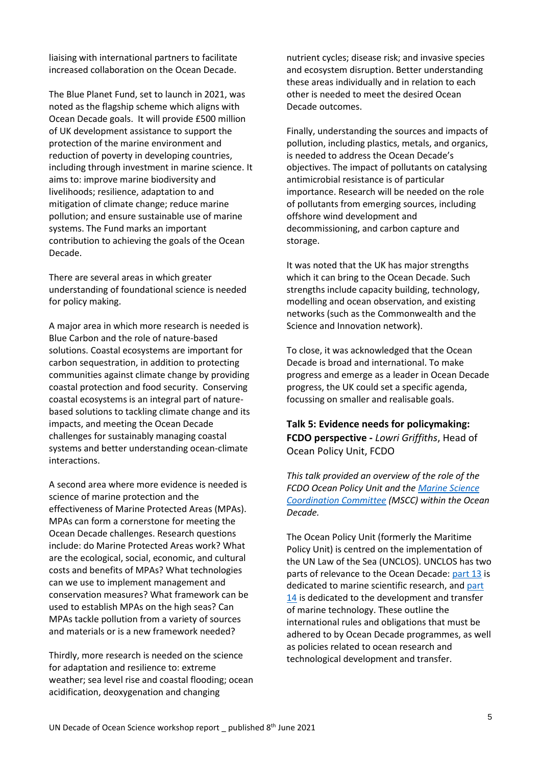liaising with international partners to facilitate increased collaboration on the Ocean Decade.

The Blue Planet Fund, set to launch in 2021, was noted as the flagship scheme which aligns with Ocean Decade goals. It will provide £500 million of UK development assistance to support the protection of the marine environment and reduction of poverty in developing countries, including through investment in marine science. It aims to: improve marine biodiversity and livelihoods; resilience, adaptation to and mitigation of climate change; reduce marine pollution; and ensure sustainable use of marine systems. The Fund marks an important contribution to achieving the goals of the Ocean Decade.

There are several areas in which greater understanding of foundational science is needed for policy making.

A major area in which more research is needed is Blue Carbon and the role of nature-based solutions. Coastal ecosystems are important for carbon sequestration, in addition to protecting communities against climate change by providing coastal protection and food security. Conserving coastal ecosystems is an integral part of naturebased solutions to tackling climate change and its impacts, and meeting the Ocean Decade challenges for sustainably managing coastal systems and better understanding ocean-climate interactions.

A second area where more evidence is needed is science of marine protection and the effectiveness of Marine Protected Areas (MPAs). MPAs can form a cornerstone for meeting the Ocean Decade challenges. Research questions include: do Marine Protected Areas work? What are the ecological, social, economic, and cultural costs and benefits of MPAs? What technologies can we use to implement management and conservation measures? What framework can be used to establish MPAs on the high seas? Can MPAs tackle pollution from a variety of sources and materials or is a new framework needed?

Thirdly, more research is needed on the science for adaptation and resilience to: extreme weather; sea level rise and coastal flooding; ocean acidification, deoxygenation and changing

nutrient cycles; disease risk; and invasive species and ecosystem disruption. Better understanding these areas individually and in relation to each other is needed to meet the desired Ocean Decade outcomes.

Finally, understanding the sources and impacts of pollution, including plastics, metals, and organics, is needed to address the Ocean Decade's objectives. The impact of pollutants on catalysing antimicrobial resistance is of particular importance. Research will be needed on the role of pollutants from emerging sources, including offshore wind development and decommissioning, and carbon capture and storage.

It was noted that the UK has major strengths which it can bring to the Ocean Decade. Such strengths include capacity building, technology, modelling and ocean observation, and existing networks (such as the Commonwealth and the Science and Innovation network).

To close, it was acknowledged that the Ocean Decade is broad and international. To make progress and emerge as a leader in Ocean Decade progress, the UK could set a specific agenda, focussing on smaller and realisable goals.

**Talk 5: Evidence needs for policymaking: FCDO perspective -** *Lowri Griffiths*, Head of Ocean Policy Unit, FCDO

*This talk provided an overview of the role of the FCDO Ocean Policy Unit and th[e Marine Science](https://www.gov.uk/government/groups/marine-science-co-ordination-committee)  [Coordination Committee](https://www.gov.uk/government/groups/marine-science-co-ordination-committee) (MSCC) within the Ocean Decade.* 

The Ocean Policy Unit (formerly the Maritime Policy Unit) is centred on the implementation of the UN Law of the Sea (UNCLOS). UNCLOS has two parts of relevance to the Ocean Decade: [part 13](https://www.un.org/depts/los/convention_agreements/texts/unclos/part13.htm) is dedicated to marine scientific research, and part [14](https://www.un.org/Depts/los/convention_agreements/texts/unclos/part14.htm) is dedicated to the development and transfer of marine technology. These outline the international rules and obligations that must be adhered to by Ocean Decade programmes, as well as policies related to ocean research and technological development and transfer.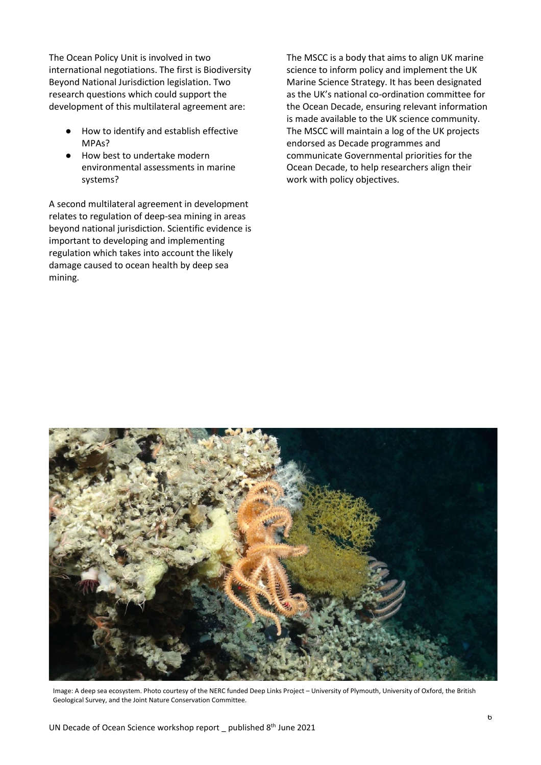The Ocean Policy Unit is involved in two international negotiations. The first is Biodiversity Beyond National Jurisdiction legislation. Two research questions which could support the development of this multilateral agreement are:

- How to identify and establish effective MPAs?
- How best to undertake modern environmental assessments in marine systems?

A second multilateral agreement in development relates to regulation of deep-sea mining in areas beyond national jurisdiction. Scientific evidence is important to developing and implementing regulation which takes into account the likely damage caused to ocean health by deep sea mining.

The MSCC is a body that aims to align UK marine science to inform policy and implement the UK Marine Science Strategy. It has been designated as the UK's national co-ordination committee for the Ocean Decade, ensuring relevant information is made available to the UK science community. The MSCC will maintain a log of the UK projects endorsed as Decade programmes and communicate Governmental priorities for the Ocean Decade, to help researchers align their work with policy objectives.



Image: A deep sea ecosystem. Photo courtesy of the NERC funded Deep Links Project – University of Plymouth, University of Oxford, the British Geological Survey, and the Joint Nature Conservation Committee.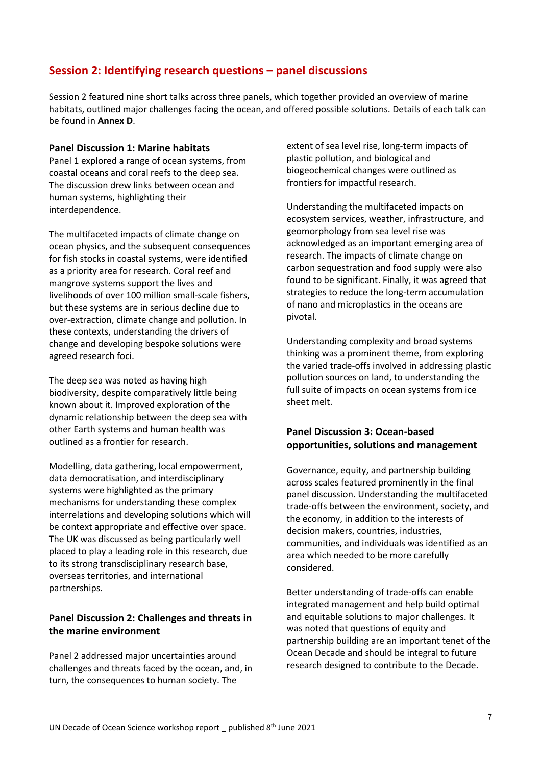# <span id="page-6-0"></span>**Session 2: Identifying research questions – panel discussions**

Session 2 featured nine short talks across three panels, which together provided an overview of marine habitats, outlined major challenges facing the ocean, and offered possible solutions. Details of each talk can be found in **Annex D**.

#### <span id="page-6-1"></span>**Panel Discussion 1: Marine habitats**

Panel 1 explored a range of ocean systems, from coastal oceans and coral reefs to the deep sea. The discussion drew links between ocean and human systems, highlighting their interdependence.

The multifaceted impacts of climate change on ocean physics, and the subsequent consequences for fish stocks in coastal systems, were identified as a priority area for research. Coral reef and mangrove systems support the lives and livelihoods of over 100 million small-scale fishers, but these systems are in serious decline due to over-extraction, climate change and pollution. In these contexts, understanding the drivers of change and developing bespoke solutions were agreed research foci.

The deep sea was noted as having high biodiversity, despite comparatively little being known about it. Improved exploration of the dynamic relationship between the deep sea with other Earth systems and human health was outlined as a frontier for research.

Modelling, data gathering, local empowerment, data democratisation, and interdisciplinary systems were highlighted as the primary mechanisms for understanding these complex interrelations and developing solutions which will be context appropriate and effective over space. The UK was discussed as being particularly well placed to play a leading role in this research, due to its strong transdisciplinary research base, overseas territories, and international partnerships.

# <span id="page-6-2"></span>**Panel Discussion 2: Challenges and threats in the marine environment**

Panel 2 addressed major uncertainties around challenges and threats faced by the ocean, and, in turn, the consequences to human society. The

extent of sea level rise, long-term impacts of plastic pollution, and biological and biogeochemical changes were outlined as frontiers for impactful research.

Understanding the multifaceted impacts on ecosystem services, weather, infrastructure, and geomorphology from sea level rise was acknowledged as an important emerging area of research. The impacts of climate change on carbon sequestration and food supply were also found to be significant. Finally, it was agreed that strategies to reduce the long-term accumulation of nano and microplastics in the oceans are pivotal.

Understanding complexity and broad systems thinking was a prominent theme, from exploring the varied trade-offs involved in addressing plastic pollution sources on land, to understanding the full suite of impacts on ocean systems from ice sheet melt.

# <span id="page-6-3"></span>**Panel Discussion 3: Ocean-based opportunities, solutions and management**

Governance, equity, and partnership building across scales featured prominently in the final panel discussion. Understanding the multifaceted trade-offs between the environment, society, and the economy, in addition to the interests of decision makers, countries, industries, communities, and individuals was identified as an area which needed to be more carefully considered.

Better understanding of trade-offs can enable integrated management and help build optimal and equitable solutions to major challenges. It was noted that questions of equity and partnership building are an important tenet of the Ocean Decade and should be integral to future research designed to contribute to the Decade.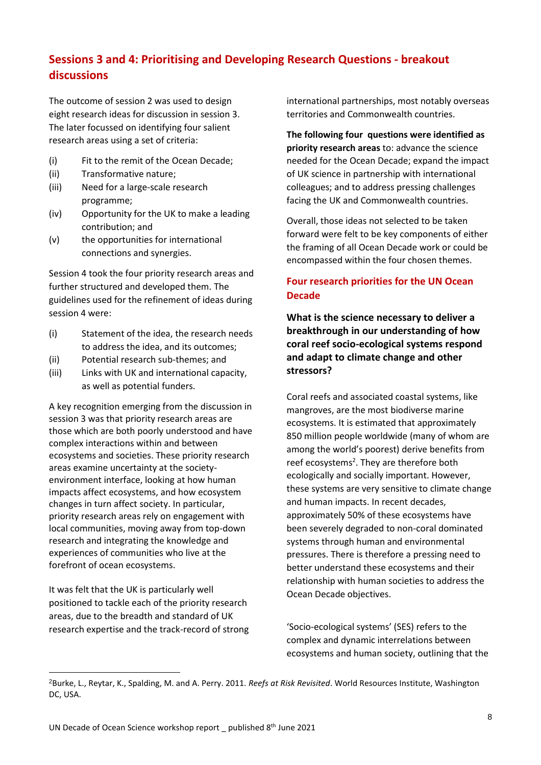# <span id="page-7-0"></span>**Sessions 3 and 4: Prioritising and Developing Research Questions - breakout discussions**

The outcome of session 2 was used to design eight research ideas for discussion in session 3. The later focussed on identifying four salient research areas using a set of criteria:

- (i) Fit to the remit of the Ocean Decade;
- (ii) Transformative nature;
- (iii) Need for a large-scale research programme;
- (iv) Opportunity for the UK to make a leading contribution; and
- (v) the opportunities for international connections and synergies.

Session 4 took the four priority research areas and further structured and developed them. The guidelines used for the refinement of ideas during session 4 were:

- (i) Statement of the idea, the research needs to address the idea, and its outcomes;
- (ii) Potential research sub-themes; and
- (iii) Links with UK and international capacity, as well as potential funders.

A key recognition emerging from the discussion in session 3 was that priority research areas are those which are both poorly understood and have complex interactions within and between ecosystems and societies. These priority research areas examine uncertainty at the societyenvironment interface, looking at how human impacts affect ecosystems, and how ecosystem changes in turn affect society. In particular, priority research areas rely on engagement with local communities, moving away from top-down research and integrating the knowledge and experiences of communities who live at the forefront of ocean ecosystems.

It was felt that the UK is particularly well positioned to tackle each of the priority research areas, due to the breadth and standard of UK research expertise and the track-record of strong international partnerships, most notably overseas territories and Commonwealth countries.

**The following four questions were identified as priority research areas** to: advance the science needed for the Ocean Decade; expand the impact of UK science in partnership with international colleagues; and to address pressing challenges facing the UK and Commonwealth countries.

Overall, those ideas not selected to be taken forward were felt to be key components of either the framing of all Ocean Decade work or could be encompassed within the four chosen themes.

# **Four research priorities for the UN Ocean Decade**

**What is the science necessary to deliver a breakthrough in our understanding of how coral reef socio-ecological systems respond and adapt to climate change and other stressors?**

Coral reefs and associated coastal systems, like mangroves, are the most biodiverse marine ecosystems. It is estimated that approximately 850 million people worldwide (many of whom are among the world's poorest) derive benefits from reef ecosystems<sup>2</sup>. They are therefore both ecologically and socially important. However, these systems are very sensitive to climate change and human impacts. In recent decades, approximately 50% of these ecosystems have been severely degraded to non-coral dominated systems through human and environmental pressures. There is therefore a pressing need to better understand these ecosystems and their relationship with human societies to address the Ocean Decade objectives.

'Socio-ecological systems' (SES) refers to the complex and dynamic interrelations between ecosystems and human society, outlining that the

<sup>2</sup>Burke, L., Reytar, K., Spalding, M. and A. Perry. 2011. *Reefs at Risk Revisited*. World Resources Institute, Washington DC, USA.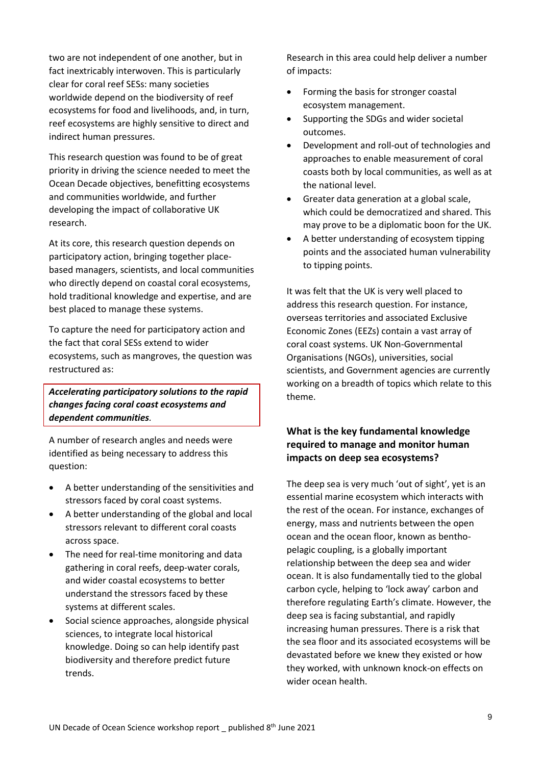two are not independent of one another, but in fact inextricably interwoven. This is particularly clear for coral reef SESs: many societies worldwide depend on the biodiversity of reef ecosystems for food and livelihoods, and, in turn, reef ecosystems are highly sensitive to direct and indirect human pressures.

This research question was found to be of great priority in driving the science needed to meet the Ocean Decade objectives, benefitting ecosystems and communities worldwide, and further developing the impact of collaborative UK research.

At its core, this research question depends on participatory action, bringing together placebased managers, scientists, and local communities who directly depend on coastal coral ecosystems, hold traditional knowledge and expertise, and are best placed to manage these systems.

To capture the need for participatory action and the fact that coral SESs extend to wider ecosystems, such as mangroves, the question was restructured as:

## *Accelerating participatory solutions to the rapid changes facing coral coast ecosystems and dependent communities.*

A number of research angles and needs were identified as being necessary to address this question:

- A better understanding of the sensitivities and stressors faced by coral coast systems.
- A better understanding of the global and local stressors relevant to different coral coasts across space.
- The need for real-time monitoring and data gathering in coral reefs, deep-water corals, and wider coastal ecosystems to better understand the stressors faced by these systems at different scales.
- Social science approaches, alongside physical sciences, to integrate local historical knowledge. Doing so can help identify past biodiversity and therefore predict future trends.

Research in this area could help deliver a number of impacts:

- Forming the basis for stronger coastal ecosystem management.
- Supporting the SDGs and wider societal outcomes.
- Development and roll-out of technologies and approaches to enable measurement of coral coasts both by local communities, as well as at the national level.
- Greater data generation at a global scale, which could be democratized and shared. This may prove to be a diplomatic boon for the UK.
- A better understanding of ecosystem tipping points and the associated human vulnerability to tipping points.

It was felt that the UK is very well placed to address this research question. For instance, overseas territories and associated Exclusive Economic Zones (EEZs) contain a vast array of coral coast systems. UK Non-Governmental Organisations (NGOs), universities, social scientists, and Government agencies are currently working on a breadth of topics which relate to this theme.

# **What is the key fundamental knowledge required to manage and monitor human impacts on deep sea ecosystems?**

The deep sea is very much 'out of sight', yet is an essential marine ecosystem which interacts with the rest of the ocean. For instance, exchanges of energy, mass and nutrients between the open ocean and the ocean floor, known as benthopelagic coupling, is a globally important relationship between the deep sea and wider ocean. It is also fundamentally tied to the global carbon cycle, helping to 'lock away' carbon and therefore regulating Earth's climate. However, the deep sea is facing substantial, and rapidly increasing human pressures. There is a risk that the sea floor and its associated ecosystems will be devastated before we knew they existed or how they worked, with unknown knock-on effects on wider ocean health.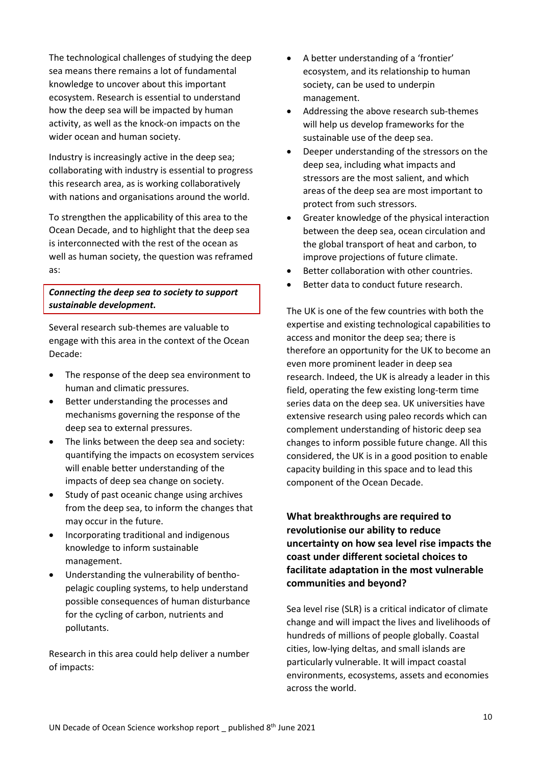The technological challenges of studying the deep sea means there remains a lot of fundamental knowledge to uncover about this important ecosystem. Research is essential to understand how the deep sea will be impacted by human activity, as well as the knock-on impacts on the wider ocean and human society.

Industry is increasingly active in the deep sea; collaborating with industry is essential to progress this research area, as is working collaboratively with nations and organisations around the world.

To strengthen the applicability of this area to the Ocean Decade, and to highlight that the deep sea is interconnected with the rest of the ocean as well as human society, the question was reframed as:

### *Connecting the deep sea to society to support sustainable development.*

Several research sub-themes are valuable to engage with this area in the context of the Ocean Decade:

- The response of the deep sea environment to human and climatic pressures.
- Better understanding the processes and mechanisms governing the response of the deep sea to external pressures.
- The links between the deep sea and society: quantifying the impacts on ecosystem services will enable better understanding of the impacts of deep sea change on society.
- Study of past oceanic change using archives from the deep sea, to inform the changes that may occur in the future.
- Incorporating traditional and indigenous knowledge to inform sustainable management.
- Understanding the vulnerability of benthopelagic coupling systems, to help understand possible consequences of human disturbance for the cycling of carbon, nutrients and pollutants.

Research in this area could help deliver a number of impacts:

- A better understanding of a 'frontier' ecosystem, and its relationship to human society, can be used to underpin management.
- Addressing the above research sub-themes will help us develop frameworks for the sustainable use of the deep sea.
- Deeper understanding of the stressors on the deep sea, including what impacts and stressors are the most salient, and which areas of the deep sea are most important to protect from such stressors.
- Greater knowledge of the physical interaction between the deep sea, ocean circulation and the global transport of heat and carbon, to improve projections of future climate.
- Better collaboration with other countries.
- Better data to conduct future research.

The UK is one of the few countries with both the expertise and existing technological capabilities to access and monitor the deep sea; there is therefore an opportunity for the UK to become an even more prominent leader in deep sea research. Indeed, the UK is already a leader in this field, operating the few existing long-term time series data on the deep sea. UK universities have extensive research using paleo records which can complement understanding of historic deep sea changes to inform possible future change. All this considered, the UK is in a good position to enable capacity building in this space and to lead this component of the Ocean Decade.

**What breakthroughs are required to revolutionise our ability to reduce uncertainty on how sea level rise impacts the coast under different societal choices to facilitate adaptation in the most vulnerable communities and beyond?**

Sea level rise (SLR) is a critical indicator of climate change and will impact the lives and livelihoods of hundreds of millions of people globally. Coastal cities, low-lying deltas, and small islands are particularly vulnerable. It will impact coastal environments, ecosystems, assets and economies across the world.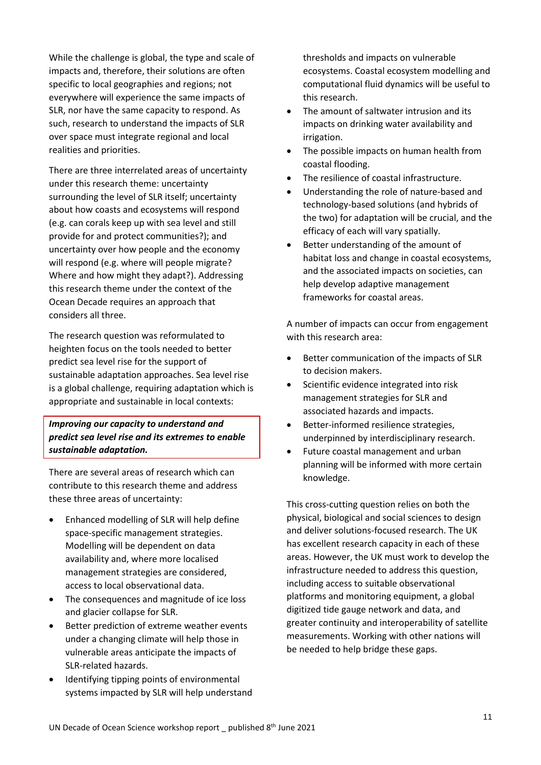While the challenge is global, the type and scale of impacts and, therefore, their solutions are often specific to local geographies and regions; not everywhere will experience the same impacts of SLR, nor have the same capacity to respond. As such, research to understand the impacts of SLR over space must integrate regional and local realities and priorities.

There are three interrelated areas of uncertainty under this research theme: uncertainty surrounding the level of SLR itself; uncertainty about how coasts and ecosystems will respond (e.g. can corals keep up with sea level and still provide for and protect communities?); and uncertainty over how people and the economy will respond (e.g. where will people migrate? Where and how might they adapt?). Addressing this research theme under the context of the Ocean Decade requires an approach that considers all three.

The research question was reformulated to heighten focus on the tools needed to better predict sea level rise for the support of sustainable adaptation approaches. Sea level rise is a global challenge, requiring adaptation which is appropriate and sustainable in local contexts:

## *Improving our capacity to understand and predict sea level rise and its extremes to enable sustainable adaptation.*

There are several areas of research which can contribute to this research theme and address these three areas of uncertainty:

- Enhanced modelling of SLR will help define space-specific management strategies. Modelling will be dependent on data availability and, where more localised management strategies are considered, access to local observational data.
- The consequences and magnitude of ice loss and glacier collapse for SLR.
- Better prediction of extreme weather events under a changing climate will help those in vulnerable areas anticipate the impacts of SLR-related hazards.
- Identifying tipping points of environmental systems impacted by SLR will help understand

thresholds and impacts on vulnerable ecosystems. Coastal ecosystem modelling and computational fluid dynamics will be useful to this research.

- The amount of saltwater intrusion and its impacts on drinking water availability and irrigation.
- The possible impacts on human health from coastal flooding.
- The resilience of coastal infrastructure.
- Understanding the role of nature-based and technology-based solutions (and hybrids of the two) for adaptation will be crucial, and the efficacy of each will vary spatially.
- Better understanding of the amount of habitat loss and change in coastal ecosystems, and the associated impacts on societies, can help develop adaptive management frameworks for coastal areas.

A number of impacts can occur from engagement with this research area:

- Better communication of the impacts of SLR to decision makers.
- Scientific evidence integrated into risk management strategies for SLR and associated hazards and impacts.
- Better-informed resilience strategies, underpinned by interdisciplinary research.
- Future coastal management and urban planning will be informed with more certain knowledge.

This cross-cutting question relies on both the physical, biological and social sciences to design and deliver solutions-focused research. The UK has excellent research capacity in each of these areas. However, the UK must work to develop the infrastructure needed to address this question, including access to suitable observational platforms and monitoring equipment, a global digitized tide gauge network and data, and greater continuity and interoperability of satellite measurements. Working with other nations will be needed to help bridge these gaps.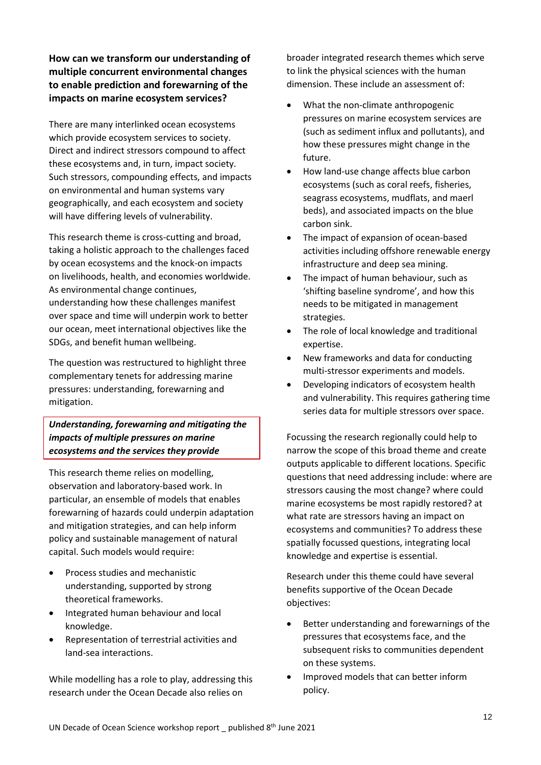# **How can we transform our understanding of multiple concurrent environmental changes to enable prediction and forewarning of the impacts on marine ecosystem services?**

There are many interlinked ocean ecosystems which provide ecosystem services to society. Direct and indirect stressors compound to affect these ecosystems and, in turn, impact society. Such stressors, compounding effects, and impacts on environmental and human systems vary geographically, and each ecosystem and society will have differing levels of vulnerability.

This research theme is cross-cutting and broad, taking a holistic approach to the challenges faced by ocean ecosystems and the knock-on impacts on livelihoods, health, and economies worldwide. As environmental change continues, understanding how these challenges manifest over space and time will underpin work to better our ocean, meet international objectives like the SDGs, and benefit human wellbeing.

The question was restructured to highlight three complementary tenets for addressing marine pressures: understanding, forewarning and mitigation.

*Understanding, forewarning and mitigating the impacts of multiple pressures on marine ecosystems and the services they provide*

This research theme relies on modelling, observation and laboratory-based work. In particular, an ensemble of models that enables forewarning of hazards could underpin adaptation and mitigation strategies, and can help inform policy and sustainable management of natural capital. Such models would require:

- Process studies and mechanistic understanding, supported by strong theoretical frameworks.
- Integrated human behaviour and local knowledge.
- Representation of terrestrial activities and land-sea interactions.

While modelling has a role to play, addressing this research under the Ocean Decade also relies on

broader integrated research themes which serve to link the physical sciences with the human dimension. These include an assessment of:

- What the non-climate anthropogenic pressures on marine ecosystem services are (such as sediment influx and pollutants), and how these pressures might change in the future.
- How land-use change affects blue carbon ecosystems (such as coral reefs, fisheries, seagrass ecosystems, mudflats, and maerl beds), and associated impacts on the blue carbon sink.
- The impact of expansion of ocean-based activities including offshore renewable energy infrastructure and deep sea mining.
- The impact of human behaviour, such as 'shifting baseline syndrome', and how this needs to be mitigated in management strategies.
- The role of local knowledge and traditional expertise.
- New frameworks and data for conducting multi-stressor experiments and models.
- Developing indicators of ecosystem health and vulnerability. This requires gathering time series data for multiple stressors over space.

Focussing the research regionally could help to narrow the scope of this broad theme and create outputs applicable to different locations. Specific questions that need addressing include: where are stressors causing the most change? where could marine ecosystems be most rapidly restored? at what rate are stressors having an impact on ecosystems and communities? To address these spatially focussed questions, integrating local knowledge and expertise is essential.

Research under this theme could have several benefits supportive of the Ocean Decade objectives:

- Better understanding and forewarnings of the pressures that ecosystems face, and the subsequent risks to communities dependent on these systems.
- Improved models that can better inform policy.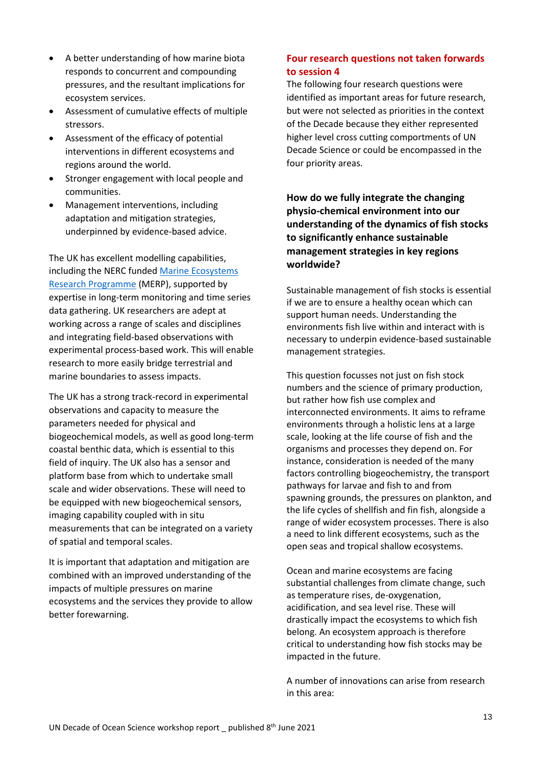- A better understanding of how marine biota responds to concurrent and compounding pressures, and the resultant implications for ecosystem services.
- Assessment of cumulative effects of multiple stressors.
- Assessment of the efficacy of potential interventions in different ecosystems and regions around the world.
- Stronger engagement with local people and communities.
- Management interventions, including adaptation and mitigation strategies, underpinned by evidence-based advice.

The UK has excellent modelling capabilities, including the NERC funded [Marine Ecosystems](https://www.marine-ecosystems.org.uk/Home)  [Research Programme](https://www.marine-ecosystems.org.uk/Home) (MERP), supported by expertise in long-term monitoring and time series data gathering. UK researchers are adept at working across a range of scales and disciplines and integrating field-based observations with experimental process-based work. This will enable research to more easily bridge terrestrial and marine boundaries to assess impacts.

The UK has a strong track-record in experimental observations and capacity to measure the parameters needed for physical and biogeochemical models, as well as good long-term coastal benthic data, which is essential to this field of inquiry. The UK also has a sensor and platform base from which to undertake small scale and wider observations. These will need to be equipped with new biogeochemical sensors, imaging capability coupled with in situ measurements that can be integrated on a variety of spatial and temporal scales.

It is important that adaptation and mitigation are combined with an improved understanding of the impacts of multiple pressures on marine ecosystems and the services they provide to allow better forewarning.

# **Four research questions not taken forwards to session 4**

The following four research questions were identified as important areas for future research, but were not selected as priorities in the context of the Decade because they either represented higher level cross cutting comportments of UN Decade Science or could be encompassed in the four priority areas.

**How do we fully integrate the changing physio-chemical environment into our understanding of the dynamics of fish stocks to significantly enhance sustainable management strategies in key regions worldwide?**

Sustainable management of fish stocks is essential if we are to ensure a healthy ocean which can support human needs. Understanding the environments fish live within and interact with is necessary to underpin evidence-based sustainable management strategies.

This question focusses not just on fish stock numbers and the science of primary production, but rather how fish use complex and interconnected environments. It aims to reframe environments through a holistic lens at a large scale, looking at the life course of fish and the organisms and processes they depend on. For instance, consideration is needed of the many factors controlling biogeochemistry, the transport pathways for larvae and fish to and from spawning grounds, the pressures on plankton, and the life cycles of shellfish and fin fish, alongside a range of wider ecosystem processes. There is also a need to link different ecosystems, such as the open seas and tropical shallow ecosystems.

Ocean and marine ecosystems are facing substantial challenges from climate change, such as temperature rises, de-oxygenation, acidification, and sea level rise. These will drastically impact the ecosystems to which fish belong. An ecosystem approach is therefore critical to understanding how fish stocks may be impacted in the future.

A number of innovations can arise from research in this area: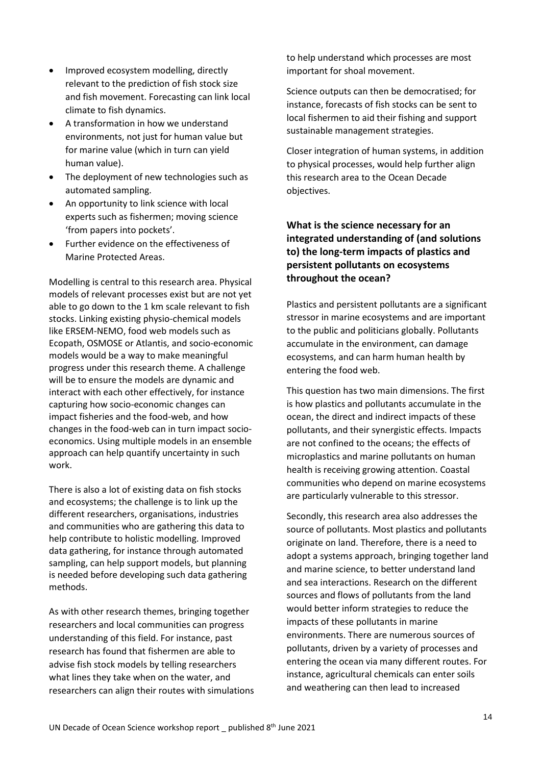- Improved ecosystem modelling, directly relevant to the prediction of fish stock size and fish movement. Forecasting can link local climate to fish dynamics.
- A transformation in how we understand environments, not just for human value but for marine value (which in turn can yield human value).
- The deployment of new technologies such as automated sampling.
- An opportunity to link science with local experts such as fishermen; moving science 'from papers into pockets'.
- Further evidence on the effectiveness of Marine Protected Areas.

Modelling is central to this research area. Physical models of relevant processes exist but are not yet able to go down to the 1 km scale relevant to fish stocks. Linking existing physio-chemical models like ERSEM-NEMO, food web models such as Ecopath, OSMOSE or Atlantis, and socio-economic models would be a way to make meaningful progress under this research theme. A challenge will be to ensure the models are dynamic and interact with each other effectively, for instance capturing how socio-economic changes can impact fisheries and the food-web, and how changes in the food-web can in turn impact socioeconomics. Using multiple models in an ensemble approach can help quantify uncertainty in such work.

There is also a lot of existing data on fish stocks and ecosystems; the challenge is to link up the different researchers, organisations, industries and communities who are gathering this data to help contribute to holistic modelling. Improved data gathering, for instance through automated sampling, can help support models, but planning is needed before developing such data gathering methods.

As with other research themes, bringing together researchers and local communities can progress understanding of this field. For instance, past research has found that fishermen are able to advise fish stock models by telling researchers what lines they take when on the water, and researchers can align their routes with simulations to help understand which processes are most important for shoal movement.

Science outputs can then be democratised; for instance, forecasts of fish stocks can be sent to local fishermen to aid their fishing and support sustainable management strategies.

Closer integration of human systems, in addition to physical processes, would help further align this research area to the Ocean Decade objectives.

# **What is the science necessary for an integrated understanding of (and solutions to) the long-term impacts of plastics and persistent pollutants on ecosystems throughout the ocean?**

Plastics and persistent pollutants are a significant stressor in marine ecosystems and are important to the public and politicians globally. Pollutants accumulate in the environment, can damage ecosystems, and can harm human health by entering the food web.

This question has two main dimensions. The first is how plastics and pollutants accumulate in the ocean, the direct and indirect impacts of these pollutants, and their synergistic effects. Impacts are not confined to the oceans; the effects of microplastics and marine pollutants on human health is receiving growing attention. Coastal communities who depend on marine ecosystems are particularly vulnerable to this stressor.

Secondly, this research area also addresses the source of pollutants. Most plastics and pollutants originate on land. Therefore, there is a need to adopt a systems approach, bringing together land and marine science, to better understand land and sea interactions. Research on the different sources and flows of pollutants from the land would better inform strategies to reduce the impacts of these pollutants in marine environments. There are numerous sources of pollutants, driven by a variety of processes and entering the ocean via many different routes. For instance, agricultural chemicals can enter soils and weathering can then lead to increased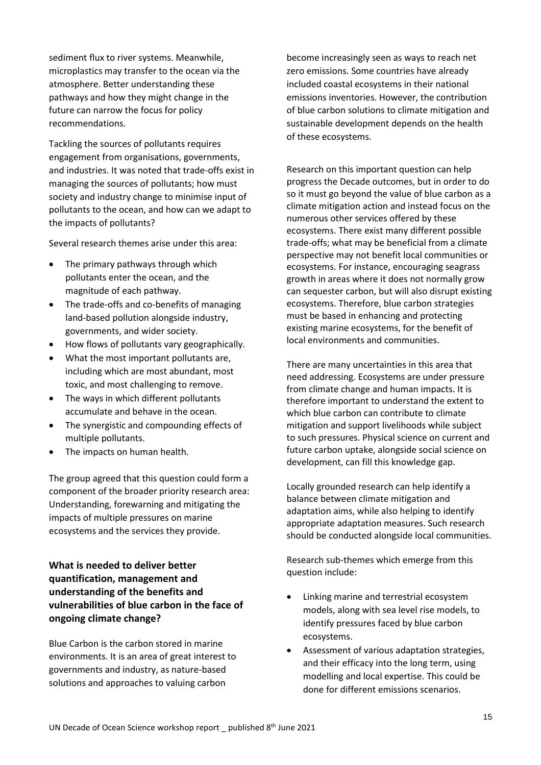sediment flux to river systems. Meanwhile, microplastics may transfer to the ocean via the atmosphere. Better understanding these pathways and how they might change in the future can narrow the focus for policy recommendations.

Tackling the sources of pollutants requires engagement from organisations, governments, and industries. It was noted that trade-offs exist in managing the sources of pollutants; how must society and industry change to minimise input of pollutants to the ocean, and how can we adapt to the impacts of pollutants?

Several research themes arise under this area:

- The primary pathways through which pollutants enter the ocean, and the magnitude of each pathway.
- The trade-offs and co-benefits of managing land-based pollution alongside industry, governments, and wider society.
- How flows of pollutants vary geographically.
- What the most important pollutants are, including which are most abundant, most toxic, and most challenging to remove.
- The ways in which different pollutants accumulate and behave in the ocean.
- The synergistic and compounding effects of multiple pollutants.
- The impacts on human health.

The group agreed that this question could form a component of the broader priority research area: Understanding, forewarning and mitigating the impacts of multiple pressures on marine ecosystems and the services they provide.

# **What is needed to deliver better quantification, management and understanding of the benefits and vulnerabilities of blue carbon in the face of ongoing climate change?**

Blue Carbon is the carbon stored in marine environments. It is an area of great interest to governments and industry, as nature-based solutions and approaches to valuing carbon

become increasingly seen as ways to reach net zero emissions. Some countries have already included coastal ecosystems in their national emissions inventories. However, the contribution of blue carbon solutions to climate mitigation and sustainable development depends on the health of these ecosystems.

Research on this important question can help progress the Decade outcomes, but in order to do so it must go beyond the value of blue carbon as a climate mitigation action and instead focus on the numerous other services offered by these ecosystems. There exist many different possible trade-offs; what may be beneficial from a climate perspective may not benefit local communities or ecosystems. For instance, encouraging seagrass growth in areas where it does not normally grow can sequester carbon, but will also disrupt existing ecosystems. Therefore, blue carbon strategies must be based in enhancing and protecting existing marine ecosystems, for the benefit of local environments and communities.

There are many uncertainties in this area that need addressing. Ecosystems are under pressure from climate change and human impacts. It is therefore important to understand the extent to which blue carbon can contribute to climate mitigation and support livelihoods while subject to such pressures. Physical science on current and future carbon uptake, alongside social science on development, can fill this knowledge gap.

Locally grounded research can help identify a balance between climate mitigation and adaptation aims, while also helping to identify appropriate adaptation measures. Such research should be conducted alongside local communities.

Research sub-themes which emerge from this question include:

- Linking marine and terrestrial ecosystem models, along with sea level rise models, to identify pressures faced by blue carbon ecosystems.
- Assessment of various adaptation strategies, and their efficacy into the long term, using modelling and local expertise. This could be done for different emissions scenarios.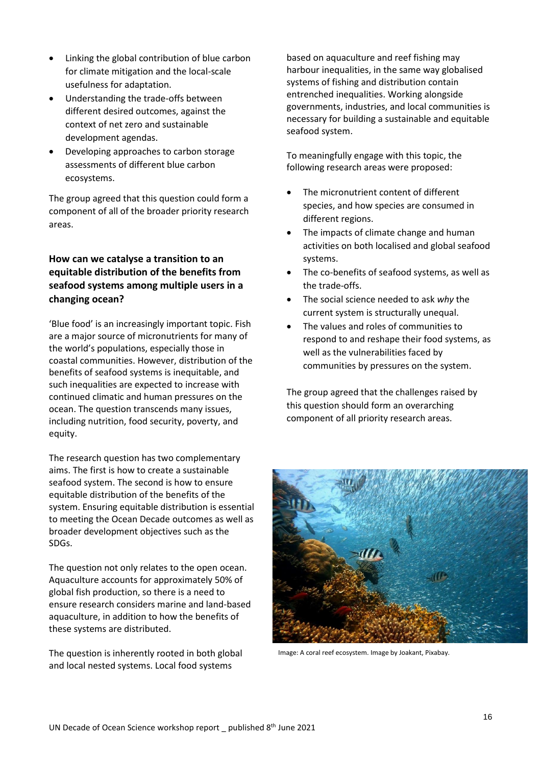- Linking the global contribution of blue carbon for climate mitigation and the local-scale usefulness for adaptation.
- Understanding the trade-offs between different desired outcomes, against the context of net zero and sustainable development agendas.
- Developing approaches to carbon storage assessments of different blue carbon ecosystems.

The group agreed that this question could form a component of all of the broader priority research areas.

# **How can we catalyse a transition to an equitable distribution of the benefits from seafood systems among multiple users in a changing ocean?**

'Blue food' is an increasingly important topic. Fish are a major source of micronutrients for many of the world's populations, especially those in coastal communities. However, distribution of the benefits of seafood systems is inequitable, and such inequalities are expected to increase with continued climatic and human pressures on the ocean. The question transcends many issues, including nutrition, food security, poverty, and equity.

The research question has two complementary aims. The first is how to create a sustainable seafood system. The second is how to ensure equitable distribution of the benefits of the system. Ensuring equitable distribution is essential to meeting the Ocean Decade outcomes as well as broader development objectives such as the SDGs.

The question not only relates to the open ocean. Aquaculture accounts for approximately 50% of global fish production, so there is a need to ensure research considers marine and land-based aquaculture, in addition to how the benefits of these systems are distributed.

The question is inherently rooted in both global and local nested systems. Local food systems

based on aquaculture and reef fishing may harbour inequalities, in the same way globalised systems of fishing and distribution contain entrenched inequalities. Working alongside governments, industries, and local communities is necessary for building a sustainable and equitable seafood system.

To meaningfully engage with this topic, the following research areas were proposed:

- The micronutrient content of different species, and how species are consumed in different regions.
- The impacts of climate change and human activities on both localised and global seafood systems.
- The co-benefits of seafood systems, as well as the trade-offs.
- The social science needed to ask *why* the current system is structurally unequal.
- The values and roles of communities to respond to and reshape their food systems, as well as the vulnerabilities faced by communities by pressures on the system.

The group agreed that the challenges raised by this question should form an overarching component of all priority research areas.



Image: A coral reef ecosystem. Image by Joakant, Pixabay.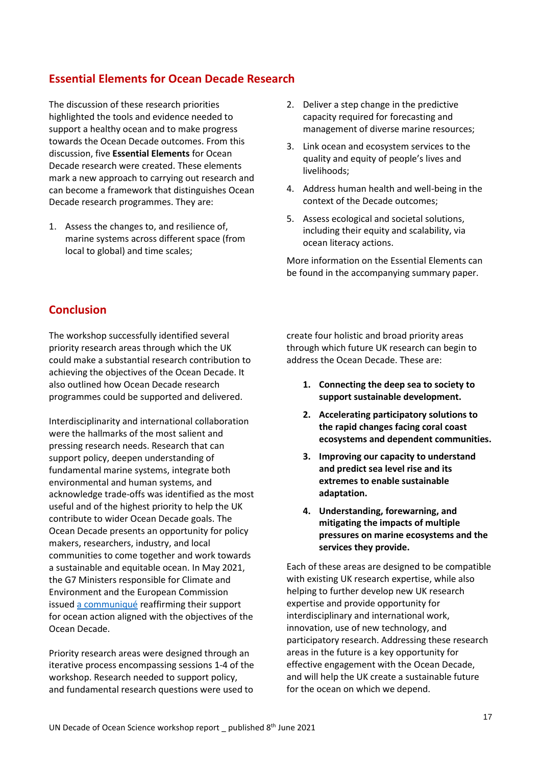# <span id="page-16-0"></span>**Essential Elements for Ocean Decade Research**

The discussion of these research priorities highlighted the tools and evidence needed to support a healthy ocean and to make progress towards the Ocean Decade outcomes. From this discussion, five **Essential Elements** for Ocean Decade research were created. These elements mark a new approach to carrying out research and can become a framework that distinguishes Ocean Decade research programmes. They are:

1. Assess the changes to, and resilience of, marine systems across different space (from local to global) and time scales;

- 2. Deliver a step change in the predictive capacity required for forecasting and management of diverse marine resources;
- 3. Link ocean and ecosystem services to the quality and equity of people's lives and livelihoods;
- 4. Address human health and well-being in the context of the Decade outcomes;
- 5. Assess ecological and societal solutions, including their equity and scalability, via ocean literacy actions.

More information on the Essential Elements can be found in the accompanying summary paper.

# <span id="page-16-1"></span>**Conclusion**

The workshop successfully identified several priority research areas through which the UK could make a substantial research contribution to achieving the objectives of the Ocean Decade. It also outlined how Ocean Decade research programmes could be supported and delivered.

Interdisciplinarity and international collaboration were the hallmarks of the most salient and pressing research needs. Research that can support policy, deepen understanding of fundamental marine systems, integrate both environmental and human systems, and acknowledge trade-offs was identified as the most useful and of the highest priority to help the UK contribute to wider Ocean Decade goals. The Ocean Decade presents an opportunity for policy makers, researchers, industry, and local communities to come together and work towards a sustainable and equitable ocean. In May 2021, the G7 Ministers responsible for Climate and Environment and the European Commission issue[d a communiqué](https://www.g7fsoi.org/g7-communique-ocean-action-may2021/) reaffirming their support for ocean action aligned with the objectives of the Ocean Decade.

Priority research areas were designed through an iterative process encompassing sessions 1-4 of the workshop. Research needed to support policy, and fundamental research questions were used to create four holistic and broad priority areas through which future UK research can begin to address the Ocean Decade. These are:

- **1. Connecting the deep sea to society to support sustainable development.**
- **2. Accelerating participatory solutions to the rapid changes facing coral coast ecosystems and dependent communities.**
- **3. Improving our capacity to understand and predict sea level rise and its extremes to enable sustainable adaptation.**
- **4. Understanding, forewarning, and mitigating the impacts of multiple pressures on marine ecosystems and the services they provide.**

Each of these areas are designed to be compatible with existing UK research expertise, while also helping to further develop new UK research expertise and provide opportunity for interdisciplinary and international work, innovation, use of new technology, and participatory research. Addressing these research areas in the future is a key opportunity for effective engagement with the Ocean Decade, and will help the UK create a sustainable future for the ocean on which we depend.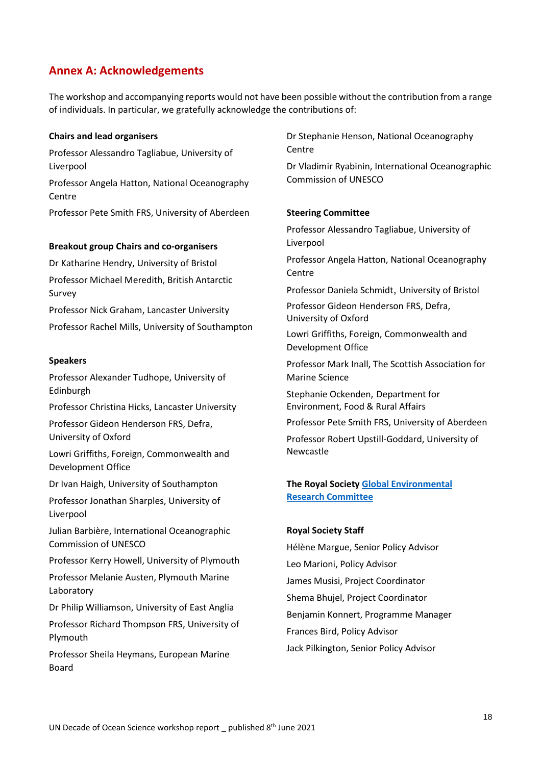# <span id="page-17-0"></span>**Annex A: Acknowledgements**

The workshop and accompanying reports would not have been possible without the contribution from a range of individuals. In particular, we gratefully acknowledge the contributions of:

#### **Chairs and lead organisers**

Professor Alessandro Tagliabue, University of Liverpool Professor Angela Hatton, National Oceanography **Centre** Professor Pete Smith FRS, University of Aberdeen

#### **Breakout group Chairs and co-organisers**

Dr Katharine Hendry, University of Bristol

Professor Michael Meredith, British Antarctic Survey

Professor Nick Graham, Lancaster University

Professor Rachel Mills, University of Southampton

#### **Speakers**

Professor Alexander Tudhope, University of Edinburgh

Professor Christina Hicks, Lancaster University

Professor Gideon Henderson FRS, Defra, University of Oxford

Lowri Griffiths, Foreign, Commonwealth and Development Office

Dr Ivan Haigh, University of Southampton

Professor Jonathan Sharples, University of Liverpool

Julian Barbière, International Oceanographic Commission of UNESCO

Professor Kerry Howell, University of Plymouth

Professor Melanie Austen, Plymouth Marine Laboratory

Dr Philip Williamson, University of East Anglia

Professor Richard Thompson FRS, University of Plymouth

Professor Sheila Heymans, European Marine Board

Dr Stephanie Henson, National Oceanography Centre

Dr Vladimir Ryabinin, International Oceanographic Commission of UNESCO

#### **Steering Committee**

Professor Alessandro Tagliabue, University of Liverpool

Professor Angela Hatton, National Oceanography **Centre** 

Professor Daniela Schmidt, University of Bristol

Professor Gideon Henderson FRS, Defra, University of Oxford

Lowri Griffiths, Foreign, Commonwealth and Development Office

Professor Mark Inall, The Scottish Association for Marine Science

Stephanie Ockenden, Department for Environment, Food & Rural Affairs

Professor Pete Smith FRS, University of Aberdeen

Professor Robert Upstill-Goddard, University of Newcastle

# **The Royal Society [Global Environmental](https://royalsociety.org/topics-policy/energy-environment-climate/global-environmental-research-committee/)  [Research Committee](https://royalsociety.org/topics-policy/energy-environment-climate/global-environmental-research-committee/)**

#### **Royal Society Staff**

Hélène Margue, Senior Policy Advisor Leo Marioni, Policy Advisor James Musisi, Project Coordinator Shema Bhujel, Project Coordinator Benjamin Konnert, Programme Manager Frances Bird, Policy Advisor Jack Pilkington, Senior Policy Advisor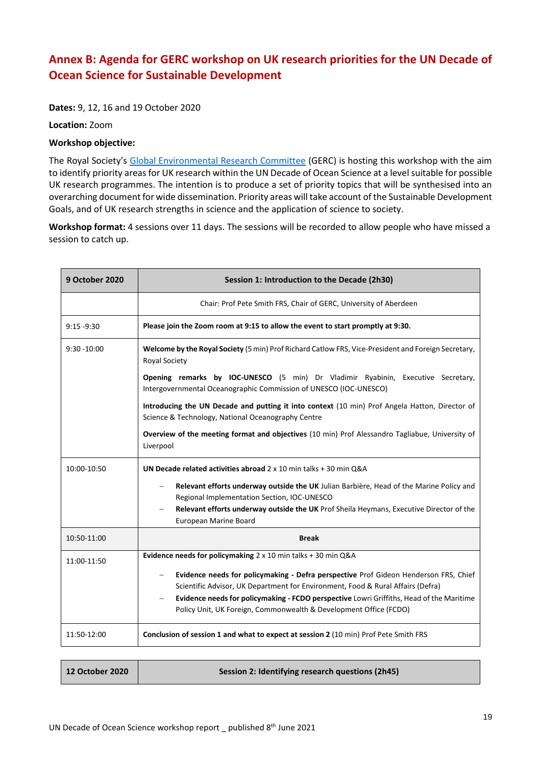# <span id="page-18-0"></span>**Annex B: Agenda for GERC workshop on UK research priorities for the UN Decade of Ocean Science for Sustainable Development**

**Dates:** 9, 12, 16 and 19 October 2020

**Location:** Zoom

#### **Workshop objective:**

The Royal Society's [Global Environmental Research Committee](https://royalsociety.org/topics-policy/energy-environment-climate/global-environmental-research-committee/) (GERC) is hosting this workshop with the aim to identify priority areas for UK research within the UN Decade of Ocean Science at a level suitable for possible UK research programmes. The intention is to produce a set of priority topics that will be synthesised into an overarching document for wide dissemination. Priority areas will take account of the Sustainable Development Goals, and of UK research strengths in science and the application of science to society.

**Workshop format:** 4 sessions over 11 days. The sessions will be recorded to allow people who have missed a session to catch up.

| <b>9 October 2020</b> | Session 1: Introduction to the Decade (2h30)                                                                                                          |
|-----------------------|-------------------------------------------------------------------------------------------------------------------------------------------------------|
|                       | Chair: Prof Pete Smith FRS, Chair of GERC, University of Aberdeen                                                                                     |
| $9:15 - 9:30$         | Please join the Zoom room at 9:15 to allow the event to start promptly at 9:30.                                                                       |
| $9:30 - 10:00$        | Welcome by the Royal Society (5 min) Prof Richard Catlow FRS, Vice-President and Foreign Secretary,<br><b>Royal Society</b>                           |
|                       | Opening remarks by IOC-UNESCO (5 min) Dr Vladimir Ryabinin, Executive Secretary,<br>Intergovernmental Oceanographic Commission of UNESCO (IOC-UNESCO) |
|                       | Introducing the UN Decade and putting it into context (10 min) Prof Angela Hatton, Director of<br>Science & Technology, National Oceanography Centre  |
|                       | Overview of the meeting format and objectives (10 min) Prof Alessandro Tagliabue, University of<br>Liverpool                                          |
| 10:00-10:50           | UN Decade related activities abroad $2 \times 10$ min talks + 30 min O&A                                                                              |
|                       | Relevant efforts underway outside the UK Julian Barbière, Head of the Marine Policy and<br>Regional Implementation Section, IOC-UNESCO                |
|                       | Relevant efforts underway outside the UK Prof Sheila Heymans, Executive Director of the<br>European Marine Board                                      |
| 10:50-11:00           | <b>Break</b>                                                                                                                                          |
| 11:00-11:50           | Evidence needs for policymaking 2 x 10 min talks + 30 min Q&A                                                                                         |
|                       | Evidence needs for policymaking - Defra perspective Prof Gideon Henderson FRS, Chief                                                                  |
|                       | Scientific Advisor, UK Department for Environment, Food & Rural Affairs (Defra)                                                                       |
|                       | Evidence needs for policymaking - FCDO perspective Lowri Griffiths, Head of the Maritime                                                              |
|                       | Policy Unit, UK Foreign, Commonwealth & Development Office (FCDO)                                                                                     |
| 11:50-12:00           | Conclusion of session 1 and what to expect at session 2 (10 min) Prof Pete Smith FRS                                                                  |

| <b>12 October 2020</b> | Session 2: Identifying research questions (2h45) |
|------------------------|--------------------------------------------------|
|                        |                                                  |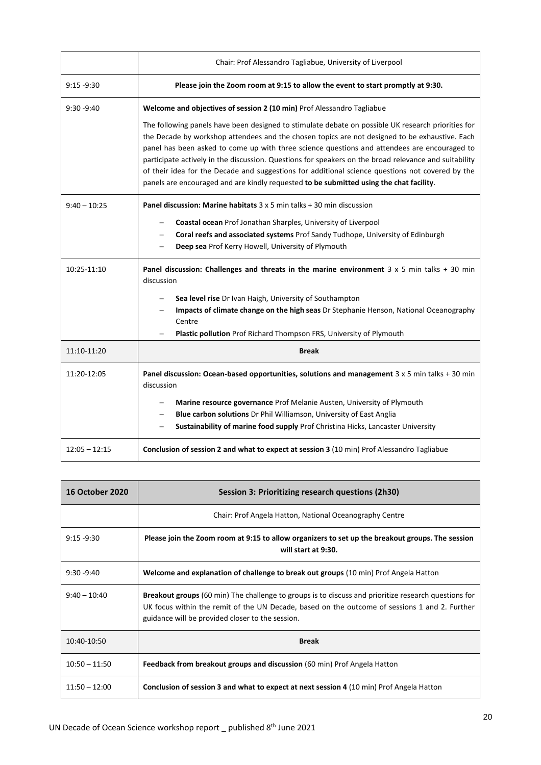|                 | Chair: Prof Alessandro Tagliabue, University of Liverpool                                                                                                                                                                                                                                                                                                                                                                                                                                                                                                                                                    |
|-----------------|--------------------------------------------------------------------------------------------------------------------------------------------------------------------------------------------------------------------------------------------------------------------------------------------------------------------------------------------------------------------------------------------------------------------------------------------------------------------------------------------------------------------------------------------------------------------------------------------------------------|
| $9:15 - 9:30$   | Please join the Zoom room at 9:15 to allow the event to start promptly at 9:30.                                                                                                                                                                                                                                                                                                                                                                                                                                                                                                                              |
| $9:30 - 9:40$   | Welcome and objectives of session 2 (10 min) Prof Alessandro Tagliabue                                                                                                                                                                                                                                                                                                                                                                                                                                                                                                                                       |
|                 | The following panels have been designed to stimulate debate on possible UK research priorities for<br>the Decade by workshop attendees and the chosen topics are not designed to be exhaustive. Each<br>panel has been asked to come up with three science questions and attendees are encouraged to<br>participate actively in the discussion. Questions for speakers on the broad relevance and suitability<br>of their idea for the Decade and suggestions for additional science questions not covered by the<br>panels are encouraged and are kindly requested to be submitted using the chat facility. |
| $9:40 - 10:25$  | <b>Panel discussion: Marine habitats</b> $3 \times 5$ min talks $+30$ min discussion                                                                                                                                                                                                                                                                                                                                                                                                                                                                                                                         |
|                 | Coastal ocean Prof Jonathan Sharples, University of Liverpool                                                                                                                                                                                                                                                                                                                                                                                                                                                                                                                                                |
|                 | Coral reefs and associated systems Prof Sandy Tudhope, University of Edinburgh                                                                                                                                                                                                                                                                                                                                                                                                                                                                                                                               |
|                 | Deep sea Prof Kerry Howell, University of Plymouth                                                                                                                                                                                                                                                                                                                                                                                                                                                                                                                                                           |
| 10:25-11:10     | Panel discussion: Challenges and threats in the marine environment 3 x 5 min talks + 30 min<br>discussion                                                                                                                                                                                                                                                                                                                                                                                                                                                                                                    |
|                 | Sea level rise Dr Ivan Haigh, University of Southampton                                                                                                                                                                                                                                                                                                                                                                                                                                                                                                                                                      |
|                 | Impacts of climate change on the high seas Dr Stephanie Henson, National Oceanography<br>Centre                                                                                                                                                                                                                                                                                                                                                                                                                                                                                                              |
|                 | Plastic pollution Prof Richard Thompson FRS, University of Plymouth                                                                                                                                                                                                                                                                                                                                                                                                                                                                                                                                          |
| 11:10-11:20     | <b>Break</b>                                                                                                                                                                                                                                                                                                                                                                                                                                                                                                                                                                                                 |
| 11:20-12:05     | Panel discussion: Ocean-based opportunities, solutions and management $3 \times 5$ min talks + 30 min<br>discussion                                                                                                                                                                                                                                                                                                                                                                                                                                                                                          |
|                 | Marine resource governance Prof Melanie Austen, University of Plymouth                                                                                                                                                                                                                                                                                                                                                                                                                                                                                                                                       |
|                 | Blue carbon solutions Dr Phil Williamson, University of East Anglia                                                                                                                                                                                                                                                                                                                                                                                                                                                                                                                                          |
|                 | Sustainability of marine food supply Prof Christina Hicks, Lancaster University                                                                                                                                                                                                                                                                                                                                                                                                                                                                                                                              |
| $12:05 - 12:15$ | Conclusion of session 2 and what to expect at session 3 (10 min) Prof Alessandro Tagliabue                                                                                                                                                                                                                                                                                                                                                                                                                                                                                                                   |

| <b>16 October 2020</b> | Session 3: Prioritizing research questions (2h30)                                                                                                                                                                                                                |
|------------------------|------------------------------------------------------------------------------------------------------------------------------------------------------------------------------------------------------------------------------------------------------------------|
|                        | Chair: Prof Angela Hatton, National Oceanography Centre                                                                                                                                                                                                          |
| $9:15 - 9:30$          | Please join the Zoom room at 9:15 to allow organizers to set up the breakout groups. The session<br>will start at 9:30.                                                                                                                                          |
| $9:30 - 9:40$          | Welcome and explanation of challenge to break out groups (10 min) Prof Angela Hatton                                                                                                                                                                             |
| $9:40 - 10:40$         | <b>Breakout groups</b> (60 min) The challenge to groups is to discuss and prioritize research questions for<br>UK focus within the remit of the UN Decade, based on the outcome of sessions 1 and 2. Further<br>guidance will be provided closer to the session. |
| 10:40-10:50            | <b>Break</b>                                                                                                                                                                                                                                                     |
| $10:50 - 11:50$        | Feedback from breakout groups and discussion (60 min) Prof Angela Hatton                                                                                                                                                                                         |
| $11:50 - 12:00$        | Conclusion of session 3 and what to expect at next session 4 (10 min) Prof Angela Hatton                                                                                                                                                                         |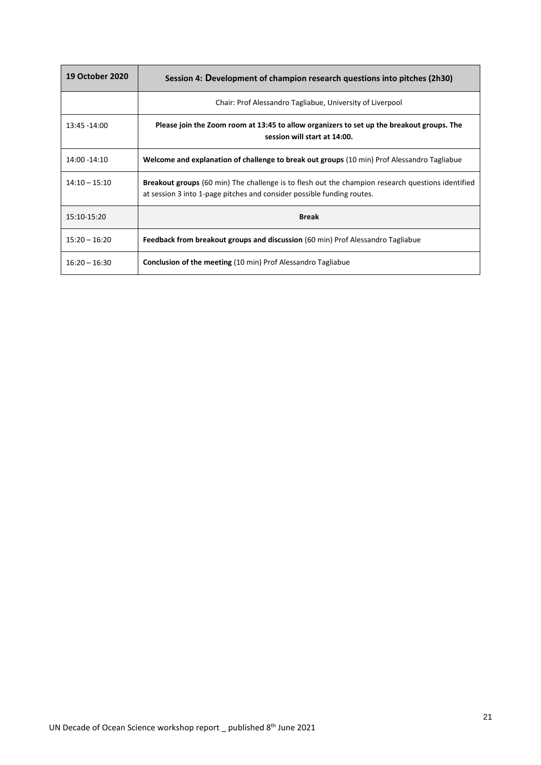| <b>19 October 2020</b> | Session 4: Development of champion research questions into pitches (2h30)                                                                                                          |
|------------------------|------------------------------------------------------------------------------------------------------------------------------------------------------------------------------------|
|                        | Chair: Prof Alessandro Tagliabue, University of Liverpool                                                                                                                          |
| 13:45 -14:00           | Please join the Zoom room at 13:45 to allow organizers to set up the breakout groups. The<br>session will start at 14:00.                                                          |
| 14:00 - 14:10          | Welcome and explanation of challenge to break out groups (10 min) Prof Alessandro Tagliabue                                                                                        |
| $14:10 - 15:10$        | <b>Breakout groups</b> (60 min) The challenge is to flesh out the champion research questions identified<br>at session 3 into 1-page pitches and consider possible funding routes. |
| 15:10-15:20            | <b>Break</b>                                                                                                                                                                       |
| $15:20 - 16:20$        | Feedback from breakout groups and discussion (60 min) Prof Alessandro Tagliabue                                                                                                    |
| $16:20 - 16:30$        | <b>Conclusion of the meeting (10 min) Prof Alessandro Tagliabue</b>                                                                                                                |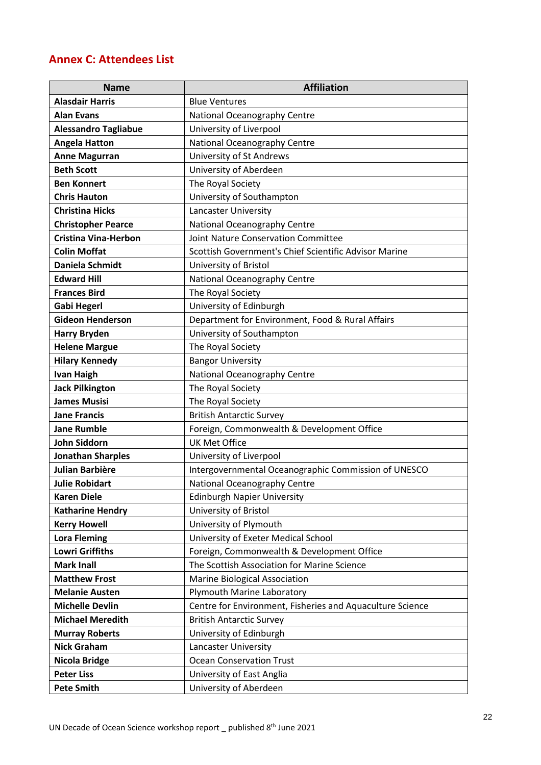# <span id="page-21-0"></span>**Annex C: Attendees List**

| <b>Name</b>                 | <b>Affiliation</b>                                        |
|-----------------------------|-----------------------------------------------------------|
| <b>Alasdair Harris</b>      | <b>Blue Ventures</b>                                      |
| <b>Alan Evans</b>           | National Oceanography Centre                              |
| <b>Alessandro Tagliabue</b> | University of Liverpool                                   |
| <b>Angela Hatton</b>        | National Oceanography Centre                              |
| <b>Anne Magurran</b>        | University of St Andrews                                  |
| <b>Beth Scott</b>           | University of Aberdeen                                    |
| <b>Ben Konnert</b>          | The Royal Society                                         |
| <b>Chris Hauton</b>         | University of Southampton                                 |
| <b>Christina Hicks</b>      | Lancaster University                                      |
| <b>Christopher Pearce</b>   | National Oceanography Centre                              |
| <b>Cristina Vina-Herbon</b> | <b>Joint Nature Conservation Committee</b>                |
| <b>Colin Moffat</b>         | Scottish Government's Chief Scientific Advisor Marine     |
| <b>Daniela Schmidt</b>      | University of Bristol                                     |
| <b>Edward Hill</b>          | National Oceanography Centre                              |
| <b>Frances Bird</b>         | The Royal Society                                         |
| <b>Gabi Hegerl</b>          | University of Edinburgh                                   |
| <b>Gideon Henderson</b>     | Department for Environment, Food & Rural Affairs          |
| <b>Harry Bryden</b>         | University of Southampton                                 |
| <b>Helene Margue</b>        | The Royal Society                                         |
| <b>Hilary Kennedy</b>       | <b>Bangor University</b>                                  |
| <b>Ivan Haigh</b>           | National Oceanography Centre                              |
| <b>Jack Pilkington</b>      | The Royal Society                                         |
| <b>James Musisi</b>         | The Royal Society                                         |
| <b>Jane Francis</b>         | <b>British Antarctic Survey</b>                           |
| <b>Jane Rumble</b>          | Foreign, Commonwealth & Development Office                |
| <b>John Siddorn</b>         | <b>UK Met Office</b>                                      |
| <b>Jonathan Sharples</b>    | University of Liverpool                                   |
| Julian Barbière             | Intergovernmental Oceanographic Commission of UNESCO      |
| <b>Julie Robidart</b>       | National Oceanography Centre                              |
| <b>Karen Diele</b>          | <b>Edinburgh Napier University</b>                        |
| <b>Katharine Hendry</b>     | University of Bristol                                     |
| <b>Kerry Howell</b>         | University of Plymouth                                    |
| <b>Lora Fleming</b>         | University of Exeter Medical School                       |
| <b>Lowri Griffiths</b>      | Foreign, Commonwealth & Development Office                |
| <b>Mark Inall</b>           | The Scottish Association for Marine Science               |
| <b>Matthew Frost</b>        | Marine Biological Association                             |
| <b>Melanie Austen</b>       | Plymouth Marine Laboratory                                |
| <b>Michelle Devlin</b>      | Centre for Environment, Fisheries and Aquaculture Science |
| <b>Michael Meredith</b>     | <b>British Antarctic Survey</b>                           |
| <b>Murray Roberts</b>       | University of Edinburgh                                   |
| <b>Nick Graham</b>          | Lancaster University                                      |
| <b>Nicola Bridge</b>        | <b>Ocean Conservation Trust</b>                           |
| <b>Peter Liss</b>           | University of East Anglia                                 |
| <b>Pete Smith</b>           | University of Aberdeen                                    |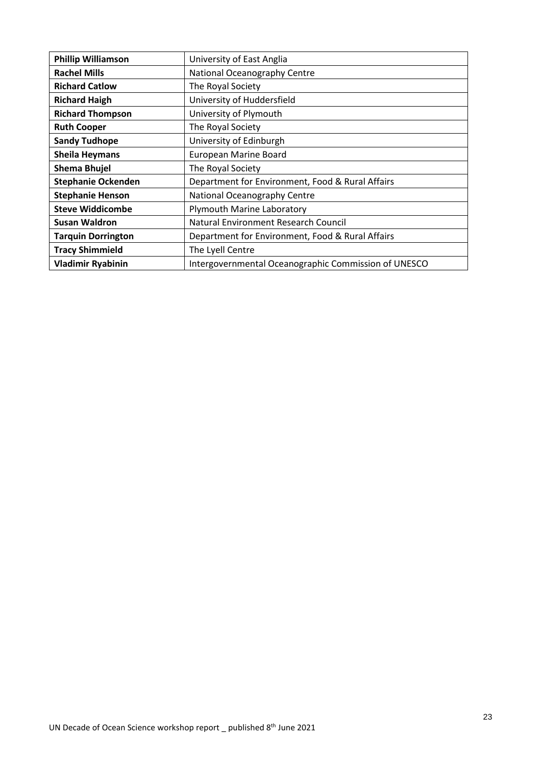| <b>Phillip Williamson</b> | University of East Anglia                            |
|---------------------------|------------------------------------------------------|
| <b>Rachel Mills</b>       | National Oceanography Centre                         |
| <b>Richard Catlow</b>     | The Royal Society                                    |
| <b>Richard Haigh</b>      | University of Huddersfield                           |
| <b>Richard Thompson</b>   | University of Plymouth                               |
| <b>Ruth Cooper</b>        | The Royal Society                                    |
| <b>Sandy Tudhope</b>      | University of Edinburgh                              |
| <b>Sheila Heymans</b>     | European Marine Board                                |
| <b>Shema Bhujel</b>       | The Royal Society                                    |
| <b>Stephanie Ockenden</b> | Department for Environment, Food & Rural Affairs     |
| <b>Stephanie Henson</b>   | National Oceanography Centre                         |
| <b>Steve Widdicombe</b>   | Plymouth Marine Laboratory                           |
| <b>Susan Waldron</b>      | Natural Environment Research Council                 |
| <b>Tarquin Dorrington</b> | Department for Environment, Food & Rural Affairs     |
| <b>Tracy Shimmield</b>    | The Lyell Centre                                     |
| <b>Vladimir Ryabinin</b>  | Intergovernmental Oceanographic Commission of UNESCO |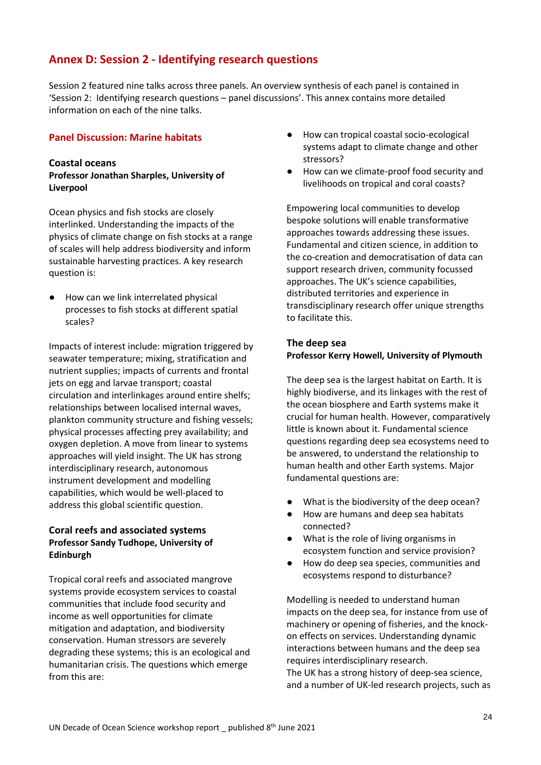# <span id="page-23-0"></span>**Annex D: Session 2 - Identifying research questions**

Session 2 featured nine talks across three panels. An overview synthesis of each panel is contained in 'Session 2: Identifying research questions – panel discussions'. This annex contains more detailed information on each of the nine talks.

#### <span id="page-23-1"></span>**Panel Discussion: Marine habitats**

#### <span id="page-23-2"></span>**Coastal oceans**

## **Professor Jonathan Sharples, University of Liverpool**

Ocean physics and fish stocks are closely interlinked. Understanding the impacts of the physics of climate change on fish stocks at a range of scales will help address biodiversity and inform sustainable harvesting practices. A key research question is:

● How can we link interrelated physical processes to fish stocks at different spatial scales?

Impacts of interest include: migration triggered by seawater temperature; mixing, stratification and nutrient supplies; impacts of currents and frontal jets on egg and larvae transport; coastal circulation and interlinkages around entire shelfs; relationships between localised internal waves, plankton community structure and fishing vessels; physical processes affecting prey availability; and oxygen depletion. A move from linear to systems approaches will yield insight. The UK has strong interdisciplinary research, autonomous instrument development and modelling capabilities, which would be well-placed to address this global scientific question.

# <span id="page-23-3"></span>**Coral reefs and associated systems Professor Sandy Tudhope, University of Edinburgh**

Tropical coral reefs and associated mangrove systems provide ecosystem services to coastal communities that include food security and income as well opportunities for climate mitigation and adaptation, and biodiversity conservation. Human stressors are severely degrading these systems; this is an ecological and humanitarian crisis. The questions which emerge from this are:

- How can tropical coastal socio-ecological systems adapt to climate change and other stressors?
- How can we climate-proof food security and livelihoods on tropical and coral coasts?

Empowering local communities to develop bespoke solutions will enable transformative approaches towards addressing these issues. Fundamental and citizen science, in addition to the co-creation and democratisation of data can support research driven, community focussed approaches. The UK's science capabilities, distributed territories and experience in transdisciplinary research offer unique strengths to facilitate this.

# <span id="page-23-4"></span>**The deep sea Professor Kerry Howell, University of Plymouth**

The deep sea is the largest habitat on Earth. It is highly biodiverse, and its linkages with the rest of the ocean biosphere and Earth systems make it crucial for human health. However, comparatively little is known about it. Fundamental science questions regarding deep sea ecosystems need to be answered, to understand the relationship to human health and other Earth systems. Major fundamental questions are:

- What is the biodiversity of the deep ocean?
- How are humans and deep sea habitats connected?
- What is the role of living organisms in ecosystem function and service provision?
- How do deep sea species, communities and ecosystems respond to disturbance?

Modelling is needed to understand human impacts on the deep sea, for instance from use of machinery or opening of fisheries, and the knockon effects on services. Understanding dynamic interactions between humans and the deep sea requires interdisciplinary research.

The UK has a strong history of deep-sea science, and a number of UK-led research projects, such as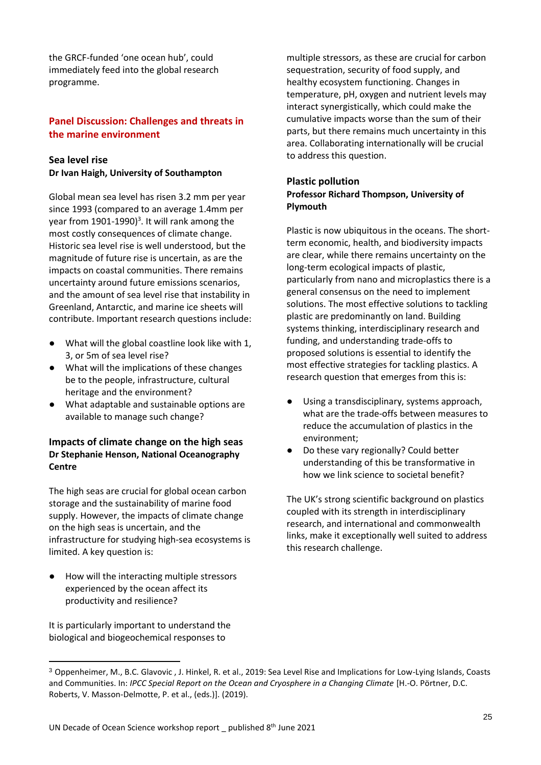the GRCF-funded 'one ocean hub', could immediately feed into the global research programme.

# <span id="page-24-0"></span>**Panel Discussion: Challenges and threats in the marine environment**

## <span id="page-24-1"></span>**Sea level rise**

**Dr Ivan Haigh, University of Southampton** 

Global mean sea level has risen 3.2 mm per year since 1993 (compared to an average 1.4mm per year from 1901-1990)<sup>3</sup>. It will rank among the most costly consequences of climate change. Historic sea level rise is well understood, but the magnitude of future rise is uncertain, as are the impacts on coastal communities. There remains uncertainty around future emissions scenarios, and the amount of sea level rise that instability in Greenland, Antarctic, and marine ice sheets will contribute. Important research questions include:

- What will the global coastline look like with 1, 3, or 5m of sea level rise?
- What will the implications of these changes be to the people, infrastructure, cultural heritage and the environment?
- What adaptable and sustainable options are available to manage such change?

### <span id="page-24-2"></span>**Impacts of climate change on the high seas Dr Stephanie Henson, National Oceanography Centre**

The high seas are crucial for global ocean carbon storage and the sustainability of marine food supply. However, the impacts of climate change on the high seas is uncertain, and the infrastructure for studying high-sea ecosystems is limited. A key question is:

How will the interacting multiple stressors experienced by the ocean affect its productivity and resilience?

It is particularly important to understand the biological and biogeochemical responses to

multiple stressors, as these are crucial for carbon sequestration, security of food supply, and healthy ecosystem functioning. Changes in temperature, pH, oxygen and nutrient levels may interact synergistically, which could make the cumulative impacts worse than the sum of their parts, but there remains much uncertainty in this area. Collaborating internationally will be crucial to address this question.

## <span id="page-24-3"></span>**Plastic pollution Professor Richard Thompson, University of Plymouth**

Plastic is now ubiquitous in the oceans. The shortterm economic, health, and biodiversity impacts are clear, while there remains uncertainty on the long-term ecological impacts of plastic, particularly from nano and microplastics there is a general consensus on the need to implement solutions. The most effective solutions to tackling plastic are predominantly on land. Building systems thinking, interdisciplinary research and funding, and understanding trade-offs to proposed solutions is essential to identify the most effective strategies for tackling plastics. A research question that emerges from this is:

- Using a transdisciplinary, systems approach, what are the trade-offs between measures to reduce the accumulation of plastics in the environment;
- Do these vary regionally? Could better understanding of this be transformative in how we link science to societal benefit?

The UK's strong scientific background on plastics coupled with its strength in interdisciplinary research, and international and commonwealth links, make it exceptionally well suited to address this research challenge.

<sup>3</sup> Oppenheimer, M., B.C. Glavovic , J. Hinkel, R. et al., 2019: Sea Level Rise and Implications for Low-Lying Islands, Coasts and Communities. In: *IPCC Special Report on the Ocean and Cryosphere in a Changing Climate* [H.-O. Pörtner, D.C. Roberts, V. Masson-Delmotte, P. et al., (eds.)]. (2019).